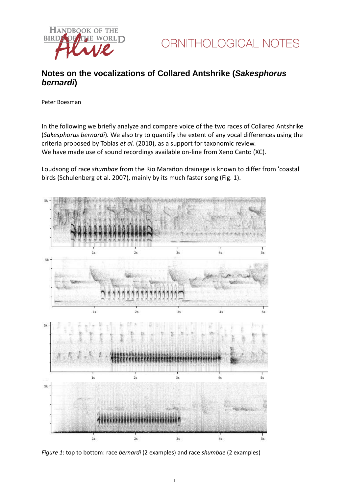



## **Notes on the vocalizations of Collared Antshrike (***Sakesphorus bernardi***)**

Peter Boesman

In the following we briefly analyze and compare voice of the two races of Collared Antshrike (*Sakesphorus bernardi*)*.* We also try to quantify the extent of any vocal differences using the criteria proposed by Tobias *et al.* (2010), as a support for taxonomic review. We have made use of sound recordings available on-line from Xeno Canto (XC).

Loudsong of race *shumbae* from the Rio Marañon drainage is known to differ from 'coastal' birds (Schulenberg et al. 2007), mainly by its much faster song (Fig. 1).



*Figure 1*: top to bottom: race *bernardi* (2 examples) and race *shumbae* (2 examples)